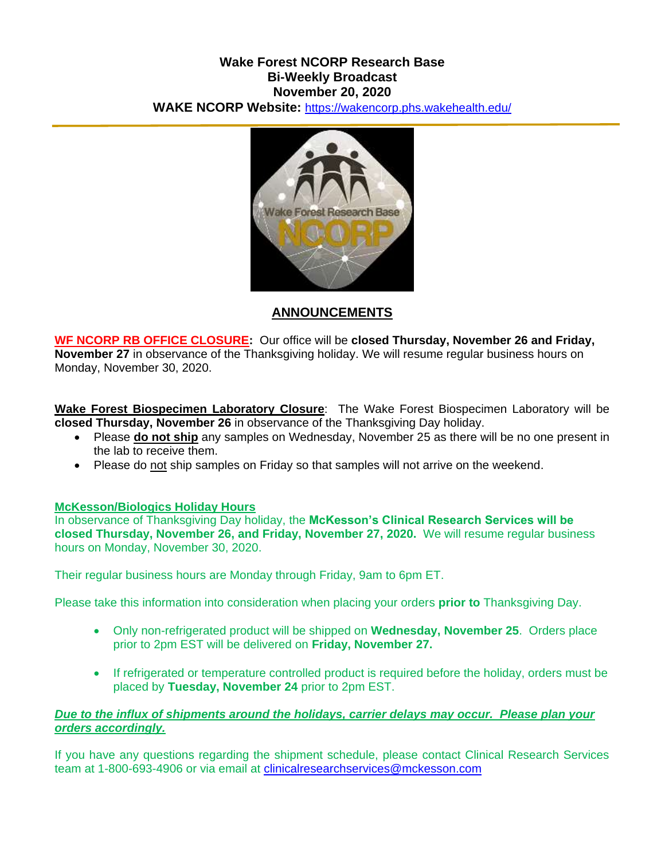### **Wake Forest NCORP Research Base Bi-Weekly Broadcast November 20, 2020 WAKE NCORP Website:** <https://wakencorp.phs.wakehealth.edu/>



# **ANNOUNCEMENTS**

**WF NCORP RB OFFICE CLOSURE:** Our office will be **closed Thursday, November 26 and Friday, November 27** in observance of the Thanksgiving holiday. We will resume regular business hours on Monday, November 30, 2020.

**Wake Forest Biospecimen Laboratory Closure**: The Wake Forest Biospecimen Laboratory will be **closed Thursday, November 26** in observance of the Thanksgiving Day holiday.

- Please **do not ship** any samples on Wednesday, November 25 as there will be no one present in the lab to receive them.
- Please do not ship samples on Friday so that samples will not arrive on the weekend.

#### **McKesson/Biologics Holiday Hours**

In observance of Thanksgiving Day holiday, the **McKesson's Clinical Research Services will be closed Thursday, November 26, and Friday, November 27, 2020.** We will resume regular business hours on Monday, November 30, 2020.

Their regular business hours are Monday through Friday, 9am to 6pm ET.

Please take this information into consideration when placing your orders **prior to** Thanksgiving Day.

- Only non-refrigerated product will be shipped on **Wednesday, November 25**. Orders place prior to 2pm EST will be delivered on **Friday, November 27.**
- If refrigerated or temperature controlled product is required before the holiday, orders must be placed by **Tuesday, November 24** prior to 2pm EST.

#### *Due to the influx of shipments around the holidays, carrier delays may occur. Please plan your orders accordingly.*

If you have any questions regarding the shipment schedule, please contact Clinical Research Services team at 1-800-693-4906 or via email at [clinicalresearchservices@mckesson.com](mailto:clinicalresearchservices@mckesson.com)